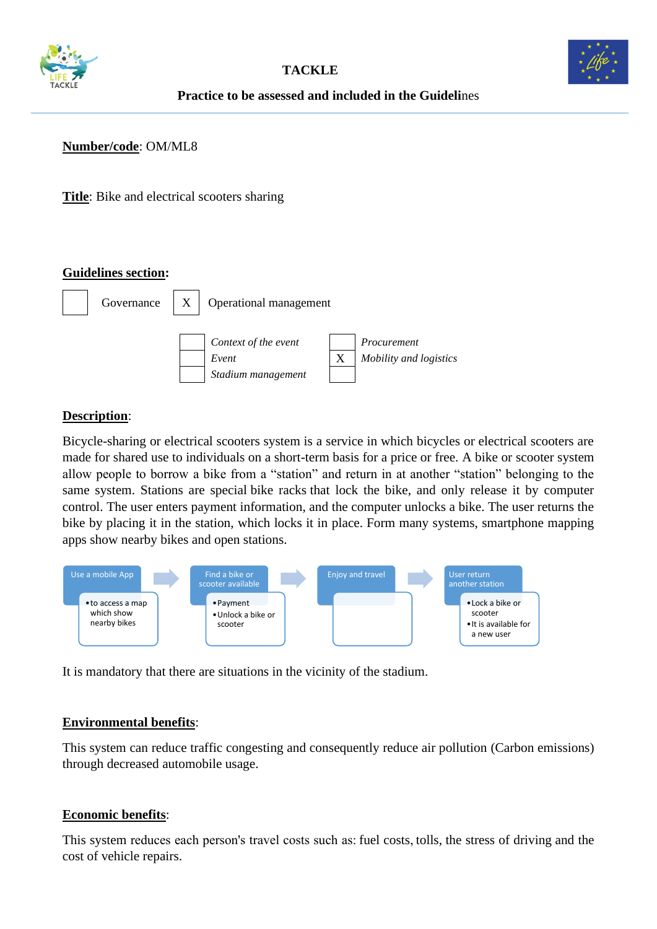



# **Practice to be assessed and included in the Guideli**nes

### **Number/code**: OM/ML8

**Title**: Bike and electrical scooters sharing

#### **Guidelines section:**



## **Description**:

Bicycle-sharing or electrical scooters system is a service in which bicycles or electrical scooters are made for shared use to individuals on a short-term basis for a price or free. A bike or scooter system allow people to borrow a bike from a "station" and return in at another "station" belonging to the same system. Stations are special [bike racks](https://en.wikipedia.org/wiki/Bicycle_parking_rack) that lock the bike, and only release it by computer control. The user enters payment information, and the computer unlocks a bike. The user returns the bike by placing it in the station, which locks it in place. Form many systems, smartphone mapping apps show nearby bikes and open stations.



It is mandatory that there are situations in the vicinity of the stadium.

#### **Environmental benefits**:

This system can reduce traffic congesting and consequently reduce air pollution (Carbon emissions) through decreased automobile usage.

#### **Economic benefits**:

This system reduces each person's travel costs such as[: fuel costs,](https://en.wikipedia.org/wiki/Gasoline_and_diesel_usage_and_pricing)[tolls,](https://en.wikipedia.org/wiki/Toll_road) the stress of driving and the cost of vehicle repairs.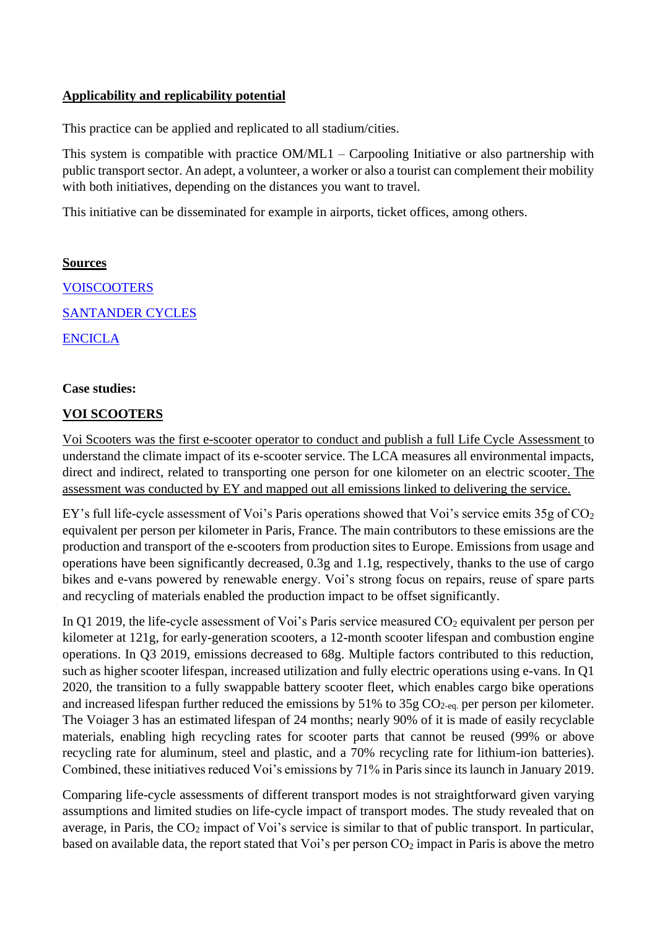## **Applicability and replicability potential**

This practice can be applied and replicated to all stadium/cities.

This system is compatible with practice OM/ML1 – Carpooling Initiative or also partnership with public transport sector. An adept, a volunteer, a worker or also a tourist can complement their mobility with both initiatives, depending on the distances you want to travel.

This initiative can be disseminated for example in airports, ticket offices, among others.

**Sources [VOISCOOTERS](https://www.voiscooters.com/pt/home/)** [SANTANDER CYCLES](https://tfl.gov.uk/modes/cycling/santander-cycles) [ENCICLA](http://www.encicla.gov.co/)

## **Case studies:**

# **[VOI SCOOTERS](https://www.voiscooters.com/sustainability/)**

Voi Scooters was the first e-scooter operator to conduct and publish a full [Life Cycle Assessment](https://www.ey.com/en_ch/automotive-transportation/how-micromobility-is-moving-cities-into-a-sustainable-future) to understand the climate impact of its e-scooter service. The LCA measures all environmental impacts, direct and indirect, related to transporting one person for one kilometer on an electric scooter. The assessment was conducted by EY and mapped out all emissions linked to delivering the service.

EY's full life-cycle assessment of Voi's Paris operations showed that Voi's service emits  $35g$  of  $CO<sub>2</sub>$ equivalent per person per kilometer in Paris, France. The main contributors to these emissions are the production and transport of the e-scooters from production sites to Europe. Emissions from usage and operations have been significantly decreased, 0.3g and 1.1g, respectively, thanks to the use of cargo bikes and e-vans powered by renewable energy. Voi's strong focus on repairs, reuse of spare parts and recycling of materials enabled the production impact to be offset significantly.

In Q1 2019, the life-cycle assessment of Voi's Paris service measured CO<sub>2</sub> equivalent per person per kilometer at 121g, for early-generation scooters, a 12-month scooter lifespan and combustion engine operations. In Q3 2019, emissions decreased to 68g. Multiple factors contributed to this reduction, such as higher scooter lifespan, increased utilization and fully electric operations using e-vans. In Q1 2020, the transition to a fully swappable battery scooter fleet, which enables cargo bike operations and increased lifespan further reduced the emissions by  $51\%$  to  $35g$  CO<sub>2-eq.</sub> per person per kilometer. The Voiager 3 has an estimated lifespan of 24 months; nearly 90% of it is made of easily recyclable materials, enabling high recycling rates for scooter parts that cannot be reused (99% or above recycling rate for aluminum, steel and plastic, and a 70% recycling rate for lithium-ion batteries). Combined, these initiatives reduced Voi's emissions by 71% in Paris since its launch in January 2019.

Comparing life-cycle assessments of different transport modes is not straightforward given varying assumptions and limited studies on life-cycle impact of transport modes. The study revealed that on average, in Paris, the  $CO<sub>2</sub>$  impact of Voi's service is similar to that of public transport. In particular, based on available data, the report stated that Voi's per person  $CO<sub>2</sub>$  impact in Paris is above the metro